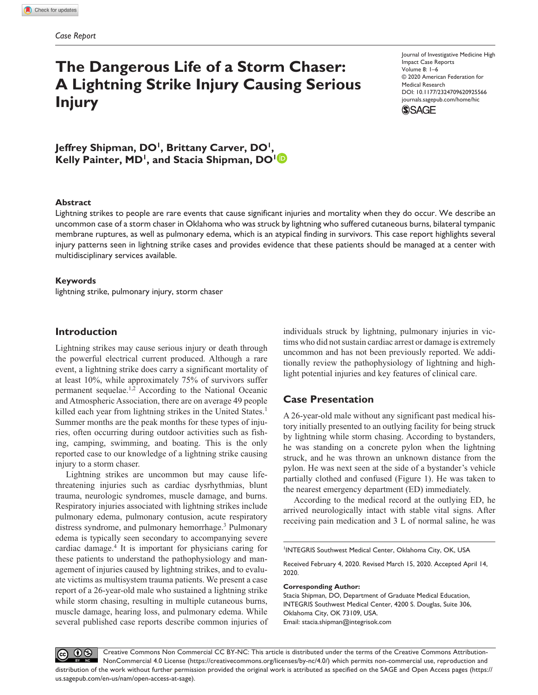# **The Dangerous Life of a Storm Chaser: A Lightning Strike Injury Causing Serious Injury**

https://doi.org/10.1177/2324709620925566 DOI: 10.1177/2324709620925566 Journal of Investigative Medicine High Impact Case Reports Volume 8: 1–6 © 2020 American Federation for Medical Research [journals.sagepub.com/home/hic](https://journals.sagepub.com/home/hic)



Jeffrey Shipman, DO<sup>1</sup>, Brittany Carver, DO<sup>1</sup>, Kelly Painter, MD<sup>1</sup>, and Stacia Shipman, DO<sup>1</sup><sup>D</sup>

## **Abstract**

Lightning strikes to people are rare events that cause significant injuries and mortality when they do occur. We describe an uncommon case of a storm chaser in Oklahoma who was struck by lightning who suffered cutaneous burns, bilateral tympanic membrane ruptures, as well as pulmonary edema, which is an atypical finding in survivors. This case report highlights several injury patterns seen in lightning strike cases and provides evidence that these patients should be managed at a center with multidisciplinary services available.

#### **Keywords**

lightning strike, pulmonary injury, storm chaser

# **Introduction**

Lightning strikes may cause serious injury or death through the powerful electrical current produced. Although a rare event, a lightning strike does carry a significant mortality of at least 10%, while approximately 75% of survivors suffer permanent sequelae.<sup>1,2</sup> According to the National Oceanic and Atmospheric Association, there are on average 49 people killed each year from lightning strikes in the United States.<sup>1</sup> Summer months are the peak months for these types of injuries, often occurring during outdoor activities such as fishing, camping, swimming, and boating. This is the only reported case to our knowledge of a lightning strike causing injury to a storm chaser.

Lightning strikes are uncommon but may cause lifethreatening injuries such as cardiac dysrhythmias, blunt trauma, neurologic syndromes, muscle damage, and burns. Respiratory injuries associated with lightning strikes include pulmonary edema, pulmonary contusion, acute respiratory distress syndrome, and pulmonary hemorrhage.3 Pulmonary edema is typically seen secondary to accompanying severe cardiac damage.4 It is important for physicians caring for these patients to understand the pathophysiology and management of injuries caused by lightning strikes, and to evaluate victims as multisystem trauma patients. We present a case report of a 26-year-old male who sustained a lightning strike while storm chasing, resulting in multiple cutaneous burns, muscle damage, hearing loss, and pulmonary edema. While several published case reports describe common injuries of

individuals struck by lightning, pulmonary injuries in victims who did not sustain cardiac arrest or damage is extremely uncommon and has not been previously reported. We additionally review the pathophysiology of lightning and highlight potential injuries and key features of clinical care.

# **Case Presentation**

A 26-year-old male without any significant past medical history initially presented to an outlying facility for being struck by lightning while storm chasing. According to bystanders, he was standing on a concrete pylon when the lightning struck, and he was thrown an unknown distance from the pylon. He was next seen at the side of a bystander's vehicle partially clothed and confused (Figure 1). He was taken to the nearest emergency department (ED) immediately.

According to the medical record at the outlying ED, he arrived neurologically intact with stable vital signs. After receiving pain medication and 3 L of normal saline, he was

1 INTEGRIS Southwest Medical Center, Oklahoma City, OK, USA

Received February 4, 2020. Revised March 15, 2020. Accepted April 14, 2020.

#### **Corresponding Author:**

Stacia Shipman, DO, Department of Graduate Medical Education, INTEGRIS Southwest Medical Center, 4200 S. Douglas, Suite 306, Oklahoma City, OK 73109, USA.

Email: [stacia.shipman@integrisok.com](mailto:stacia.shipman@integrisok.com)

Creative Commons Non Commercial CC BY-NC: This article is distributed under the terms of the Creative Commons Attribution- $0$ (cc) NonCommercial 4.0 License (https://creativecommons.org/licenses/by-nc/4.0/) which permits non-commercial use, reproduction and distribution of the work without further permission provided the original work is attributed as specified on the SAGE and Open Access pages (https:// us.sagepub.com/en-us/nam/open-access-at-sage).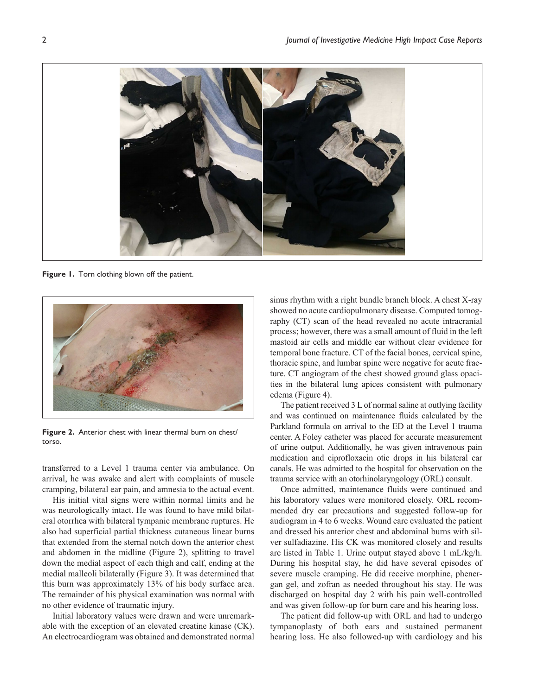

**Figure 1.** Torn clothing blown off the patient.



**Figure 2.** Anterior chest with linear thermal burn on chest/ torso.

transferred to a Level 1 trauma center via ambulance. On arrival, he was awake and alert with complaints of muscle cramping, bilateral ear pain, and amnesia to the actual event.

His initial vital signs were within normal limits and he was neurologically intact. He was found to have mild bilateral otorrhea with bilateral tympanic membrane ruptures. He also had superficial partial thickness cutaneous linear burns that extended from the sternal notch down the anterior chest and abdomen in the midline (Figure 2), splitting to travel down the medial aspect of each thigh and calf, ending at the medial malleoli bilaterally (Figure 3). It was determined that this burn was approximately 13% of his body surface area. The remainder of his physical examination was normal with no other evidence of traumatic injury.

Initial laboratory values were drawn and were unremarkable with the exception of an elevated creatine kinase (CK). An electrocardiogram was obtained and demonstrated normal

sinus rhythm with a right bundle branch block. A chest X-ray showed no acute cardiopulmonary disease. Computed tomography (CT) scan of the head revealed no acute intracranial process; however, there was a small amount of fluid in the left mastoid air cells and middle ear without clear evidence for temporal bone fracture. CT of the facial bones, cervical spine, thoracic spine, and lumbar spine were negative for acute fracture. CT angiogram of the chest showed ground glass opacities in the bilateral lung apices consistent with pulmonary edema (Figure 4).

The patient received 3 L of normal saline at outlying facility and was continued on maintenance fluids calculated by the Parkland formula on arrival to the ED at the Level 1 trauma center. A Foley catheter was placed for accurate measurement of urine output. Additionally, he was given intravenous pain medication and ciprofloxacin otic drops in his bilateral ear canals. He was admitted to the hospital for observation on the trauma service with an otorhinolaryngology (ORL) consult.

Once admitted, maintenance fluids were continued and his laboratory values were monitored closely. ORL recommended dry ear precautions and suggested follow-up for audiogram in 4 to 6 weeks. Wound care evaluated the patient and dressed his anterior chest and abdominal burns with silver sulfadiazine. His CK was monitored closely and results are listed in Table 1. Urine output stayed above 1 mL/kg/h. During his hospital stay, he did have several episodes of severe muscle cramping. He did receive morphine, phenergan gel, and zofran as needed throughout his stay. He was discharged on hospital day 2 with his pain well-controlled and was given follow-up for burn care and his hearing loss.

The patient did follow-up with ORL and had to undergo tympanoplasty of both ears and sustained permanent hearing loss. He also followed-up with cardiology and his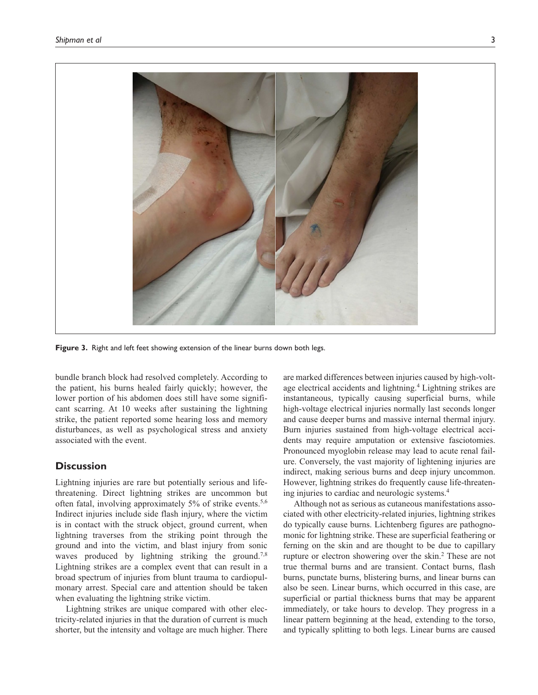

**Figure 3.** Right and left feet showing extension of the linear burns down both legs.

bundle branch block had resolved completely. According to the patient, his burns healed fairly quickly; however, the lower portion of his abdomen does still have some significant scarring. At 10 weeks after sustaining the lightning strike, the patient reported some hearing loss and memory disturbances, as well as psychological stress and anxiety associated with the event.

## **Discussion**

Lightning injuries are rare but potentially serious and lifethreatening. Direct lightning strikes are uncommon but often fatal, involving approximately 5% of strike events.<sup>5,6</sup> Indirect injuries include side flash injury, where the victim is in contact with the struck object, ground current, when lightning traverses from the striking point through the ground and into the victim, and blast injury from sonic waves produced by lightning striking the ground.<sup>7,8</sup> Lightning strikes are a complex event that can result in a broad spectrum of injuries from blunt trauma to cardiopulmonary arrest. Special care and attention should be taken when evaluating the lightning strike victim.

Lightning strikes are unique compared with other electricity-related injuries in that the duration of current is much shorter, but the intensity and voltage are much higher. There

are marked differences between injuries caused by high-voltage electrical accidents and lightning.<sup>4</sup> Lightning strikes are instantaneous, typically causing superficial burns, while high-voltage electrical injuries normally last seconds longer and cause deeper burns and massive internal thermal injury. Burn injuries sustained from high-voltage electrical accidents may require amputation or extensive fasciotomies. Pronounced myoglobin release may lead to acute renal failure. Conversely, the vast majority of lightening injuries are indirect, making serious burns and deep injury uncommon. However, lightning strikes do frequently cause life-threatening injuries to cardiac and neurologic systems.4

Although not as serious as cutaneous manifestations associated with other electricity-related injuries, lightning strikes do typically cause burns. Lichtenberg figures are pathognomonic for lightning strike. These are superficial feathering or ferning on the skin and are thought to be due to capillary rupture or electron showering over the skin.<sup>2</sup> These are not true thermal burns and are transient. Contact burns, flash burns, punctate burns, blistering burns, and linear burns can also be seen. Linear burns, which occurred in this case, are superficial or partial thickness burns that may be apparent immediately, or take hours to develop. They progress in a linear pattern beginning at the head, extending to the torso, and typically splitting to both legs. Linear burns are caused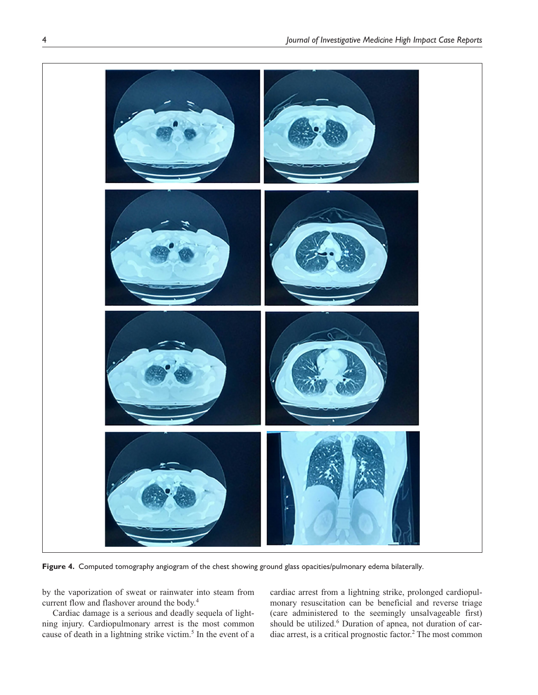

**Figure 4.** Computed tomography angiogram of the chest showing ground glass opacities/pulmonary edema bilaterally.

by the vaporization of sweat or rainwater into steam from current flow and flashover around the body.4

Cardiac damage is a serious and deadly sequela of lightning injury. Cardiopulmonary arrest is the most common cause of death in a lightning strike victim.<sup>5</sup> In the event of a cardiac arrest from a lightning strike, prolonged cardiopulmonary resuscitation can be beneficial and reverse triage (care administered to the seemingly unsalvageable first) should be utilized.<sup>6</sup> Duration of apnea, not duration of cardiac arrest, is a critical prognostic factor.<sup>2</sup> The most common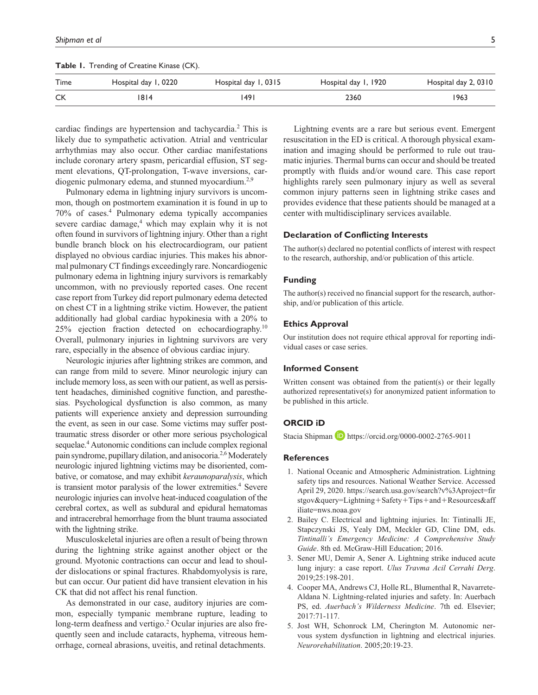| Time | Hospital day 1, 0220 | Hospital day 1, 0315 | Hospital day 1, 1920 | Hospital day 2, 0310 |
|------|----------------------|----------------------|----------------------|----------------------|
| CK   | 1814                 | 1491                 | 2360                 | 1963                 |
|      |                      |                      |                      |                      |

**Table 1.** Trending of Creatine Kinase (CK).

cardiac findings are hypertension and tachycardia.<sup>2</sup> This is likely due to sympathetic activation. Atrial and ventricular arrhythmias may also occur. Other cardiac manifestations include coronary artery spasm, pericardial effusion, ST segment elevations, QT-prolongation, T-wave inversions, cardiogenic pulmonary edema, and stunned myocardium.<sup>2,9</sup>

Pulmonary edema in lightning injury survivors is uncommon, though on postmortem examination it is found in up to 70% of cases.4 Pulmonary edema typically accompanies severe cardiac damage,<sup>4</sup> which may explain why it is not often found in survivors of lightning injury. Other than a right bundle branch block on his electrocardiogram, our patient displayed no obvious cardiac injuries. This makes his abnormal pulmonary CT findings exceedingly rare. Noncardiogenic pulmonary edema in lightning injury survivors is remarkably uncommon, with no previously reported cases. One recent case report from Turkey did report pulmonary edema detected on chest CT in a lightning strike victim. However, the patient additionally had global cardiac hypokinesia with a 20% to  $25\%$  ejection fraction detected on echocardiography.<sup>10</sup> Overall, pulmonary injuries in lightning survivors are very rare, especially in the absence of obvious cardiac injury.

Neurologic injuries after lightning strikes are common, and can range from mild to severe. Minor neurologic injury can include memory loss, as seen with our patient, as well as persistent headaches, diminished cognitive function, and paresthesias. Psychological dysfunction is also common, as many patients will experience anxiety and depression surrounding the event, as seen in our case. Some victims may suffer posttraumatic stress disorder or other more serious psychological sequelae.<sup>4</sup> Autonomic conditions can include complex regional pain syndrome, pupillary dilation, and anisocoria.2,6 Moderately neurologic injured lightning victims may be disoriented, combative, or comatose, and may exhibit *keraunoparalysis*, which is transient motor paralysis of the lower extremities.<sup>4</sup> Severe neurologic injuries can involve heat-induced coagulation of the cerebral cortex, as well as subdural and epidural hematomas and intracerebral hemorrhage from the blunt trauma associated with the lightning strike.

Musculoskeletal injuries are often a result of being thrown during the lightning strike against another object or the ground. Myotonic contractions can occur and lead to shoulder dislocations or spinal fractures. Rhabdomyolysis is rare, but can occur. Our patient did have transient elevation in his CK that did not affect his renal function.

As demonstrated in our case, auditory injuries are common, especially tympanic membrane rupture, leading to long-term deafness and vertigo.<sup>2</sup> Ocular injuries are also frequently seen and include cataracts, hyphema, vitreous hemorrhage, corneal abrasions, uveitis, and retinal detachments.

Lightning events are a rare but serious event. Emergent resuscitation in the ED is critical. A thorough physical examination and imaging should be performed to rule out traumatic injuries. Thermal burns can occur and should be treated promptly with fluids and/or wound care. This case report highlights rarely seen pulmonary injury as well as several common injury patterns seen in lightning strike cases and provides evidence that these patients should be managed at a center with multidisciplinary services available.

### **Declaration of Conflicting Interests**

The author(s) declared no potential conflicts of interest with respect to the research, authorship, and/or publication of this article.

#### **Funding**

The author(s) received no financial support for the research, authorship, and/or publication of this article.

#### **Ethics Approval**

Our institution does not require ethical approval for reporting individual cases or case series.

## **Informed Consent**

Written consent was obtained from the patient(s) or their legally authorized representative(s) for anonymized patient information to be published in this article.

#### **ORCID iD**

Stacia Shipman **D** <https://orcid.org/0000-0002-2765-9011>

#### **References**

- 1. National Oceanic and Atmospheric Administration. Lightning safety tips and resources. National Weather Service. Accessed April 29, 2020. [https://search.usa.gov/search?v%3Aproject=fir](https://search.usa.gov/search?v%3Aproject=firstgov&query=Lightning) [stgov&query=Lightning](https://search.usa.gov/search?v%3Aproject=firstgov&query=Lightning)+Safety+Tips+and+Resources&aff iliate=nws.noaa.gov
- 2. Bailey C. Electrical and lightning injuries. In: Tintinalli JE, Stapczynski JS, Yealy DM, Meckler GD, Cline DM, eds. *Tintinalli's Emergency Medicine: A Comprehensive Study Guide*. 8th ed. McGraw-Hill Education; 2016.
- 3. Sener MU, Demir A, Sener A. Lightning strike induced acute lung injury: a case report. *Ulus Travma Acil Cerrahi Derg*. 2019;25:198-201.
- 4. Cooper MA, Andrews CJ, Holle RL, Blumenthal R, Navarrete-Aldana N. Lightning-related injuries and safety. In: Auerbach PS, ed. *Auerbach's Wilderness Medicine*. 7th ed. Elsevier; 2017:71-117.
- 5. Jost WH, Schonrock LM, Cherington M. Autonomic nervous system dysfunction in lightning and electrical injuries. *Neurorehabilitation*. 2005;20:19-23.